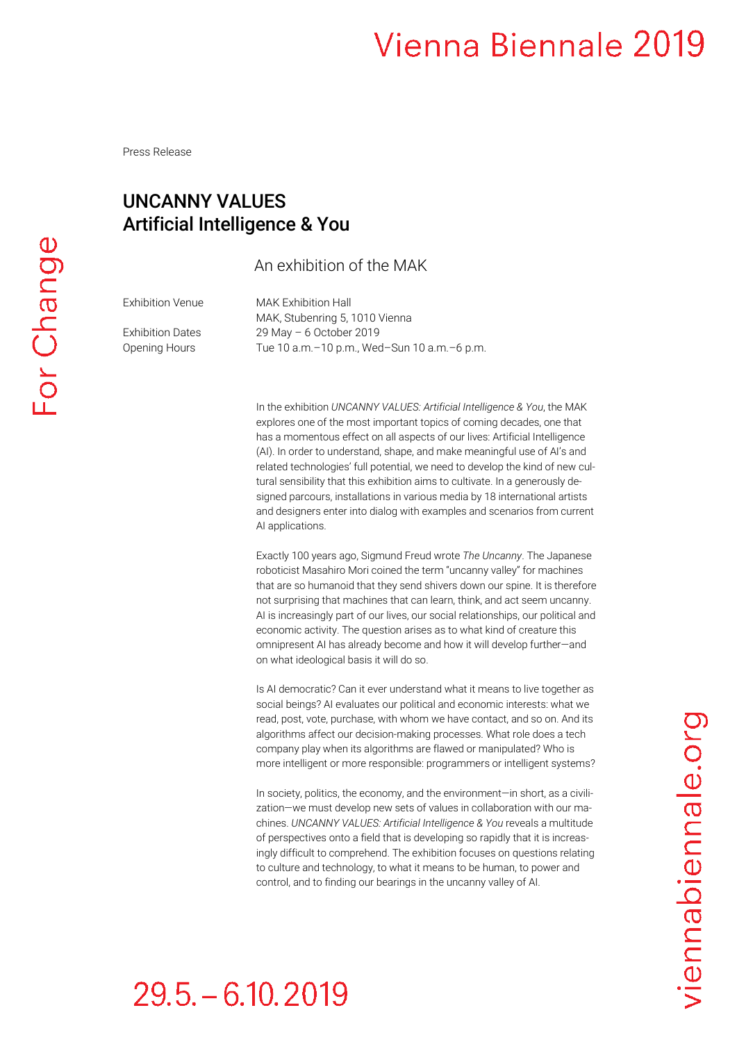Press Release

#### UNCANNY VALUES Artificial Intelligence & You

#### An exhibition of the MAK

Exhibition Venue MAK Exhibition Hall

MAK, Stubenring 5, 1010 Vienna Exhibition Dates 29 May – 6 October 2019 Opening Hours Tue 10 a.m.–10 p.m., Wed–Sun 10 a.m.–6 p.m.

> In the exhibition *UNCANNY VALUES: Artificial Intelligence & You*, the MAK explores one of the most important topics of coming decades, one that has a momentous effect on all aspects of our lives: Artificial Intelligence (AI). In order to understand, shape, and make meaningful use of AI's and related technologies' full potential, we need to develop the kind of new cultural sensibility that this exhibition aims to cultivate. In a generously designed parcours, installations in various media by 18 international artists and designers enter into dialog with examples and scenarios from current AI applications.

> Exactly 100 years ago, Sigmund Freud wrote *The Uncanny*. The Japanese roboticist Masahiro Mori coined the term "uncanny valley" for machines that are so humanoid that they send shivers down our spine. It is therefore not surprising that machines that can learn, think, and act seem uncanny. AI is increasingly part of our lives, our social relationships, our political and economic activity. The question arises as to what kind of creature this omnipresent AI has already become and how it will develop further—and on what ideological basis it will do so.

> Is AI democratic? Can it ever understand what it means to live together as social beings? AI evaluates our political and economic interests: what we read, post, vote, purchase, with whom we have contact, and so on. And its algorithms affect our decision-making processes. What role does a tech company play when its algorithms are flawed or manipulated? Who is more intelligent or more responsible: programmers or intelligent systems?

> In society, politics, the economy, and the environment—in short, as a civilization—we must develop new sets of values in collaboration with our machines. *UNCANNY VALUES: Artificial Intelligence & You* reveals a multitude of perspectives onto a field that is developing so rapidly that it is increasingly difficult to comprehend. The exhibition focuses on questions relating to culture and technology, to what it means to be human, to power and control, and to finding our bearings in the uncanny valley of AI.

# $29.5 - 6.10.2019$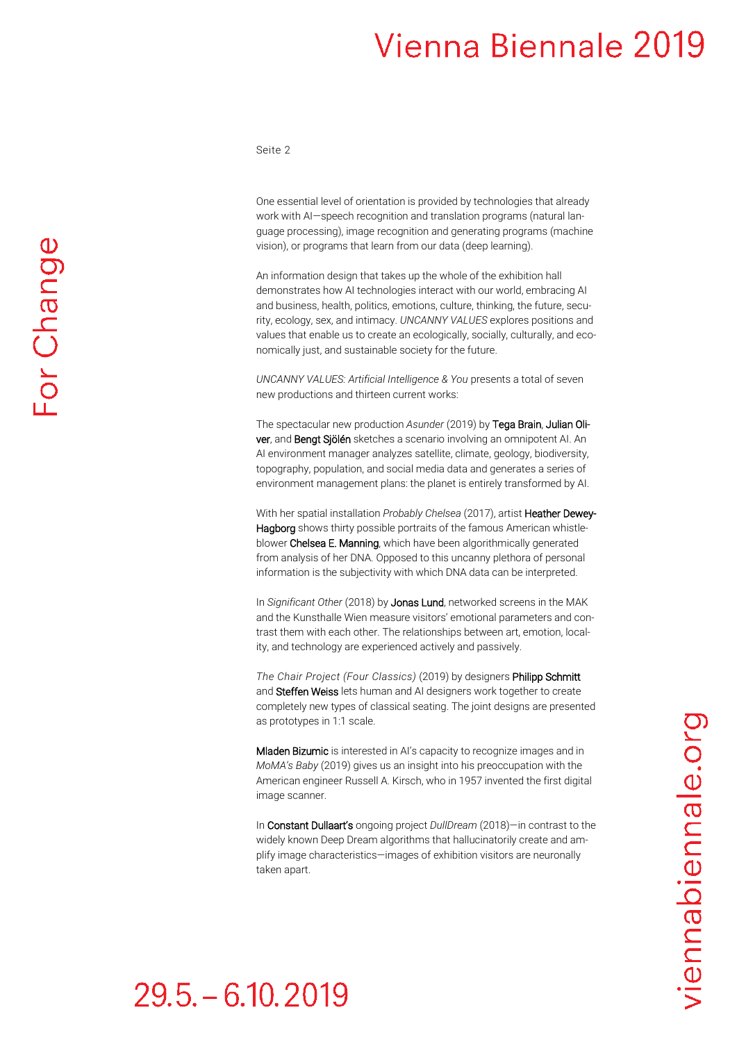Seite 2

One essential level of orientation is provided by technologies that already work with AI—speech recognition and translation programs (natural language processing), image recognition and generating programs (machine vision), or programs that learn from our data (deep learning).

An information design that takes up the whole of the exhibition hall demonstrates how AI technologies interact with our world, embracing AI and business, health, politics, emotions, culture, thinking, the future, security, ecology, sex, and intimacy. *UNCANNY VALUES* explores positions and values that enable us to create an ecologically, socially, culturally, and economically just, and sustainable society for the future.

*UNCANNY VALUES: Artificial Intelligence & You* presents a total of seven new productions and thirteen current works:

The spectacular new production *Asunder* (2019) by Tega Brain, Julian Oliver, and Bengt Sjölén sketches a scenario involving an omnipotent AI. An AI environment manager analyzes satellite, climate, geology, biodiversity, topography, population, and social media data and generates a series of environment management plans: the planet is entirely transformed by AI.

With her spatial installation *Probably Chelsea* (2017), artist Heather Dewey-Hagborg shows thirty possible portraits of the famous American whistleblower Chelsea E. Manning, which have been algorithmically generated from analysis of her DNA. Opposed to this uncanny plethora of personal information is the subjectivity with which DNA data can be interpreted.

In *Significant Other* (2018) by Jonas Lund, networked screens in the MAK and the Kunsthalle Wien measure visitors' emotional parameters and contrast them with each other. The relationships between art, emotion, locality, and technology are experienced actively and passively.

*The Chair Project (Four Classics)* (2019) by designers Philipp Schmitt and Steffen Weiss lets human and AI designers work together to create completely new types of classical seating. The joint designs are presented as prototypes in 1:1 scale.

Mladen Bizumic is interested in AI's capacity to recognize images and in *MoMA's Baby* (2019) gives us an insight into his preoccupation with the American engineer Russell A. Kirsch, who in 1957 invented the first digital image scanner.

In Constant Dullaart's ongoing project *DullDream* (2018)—in contrast to the widely known Deep Dream algorithms that hallucinatorily create and amplify image characteristics—images of exhibition visitors are neuronally taken apart.

viennabiennale.org

### $29.5 - 6.10, 2019$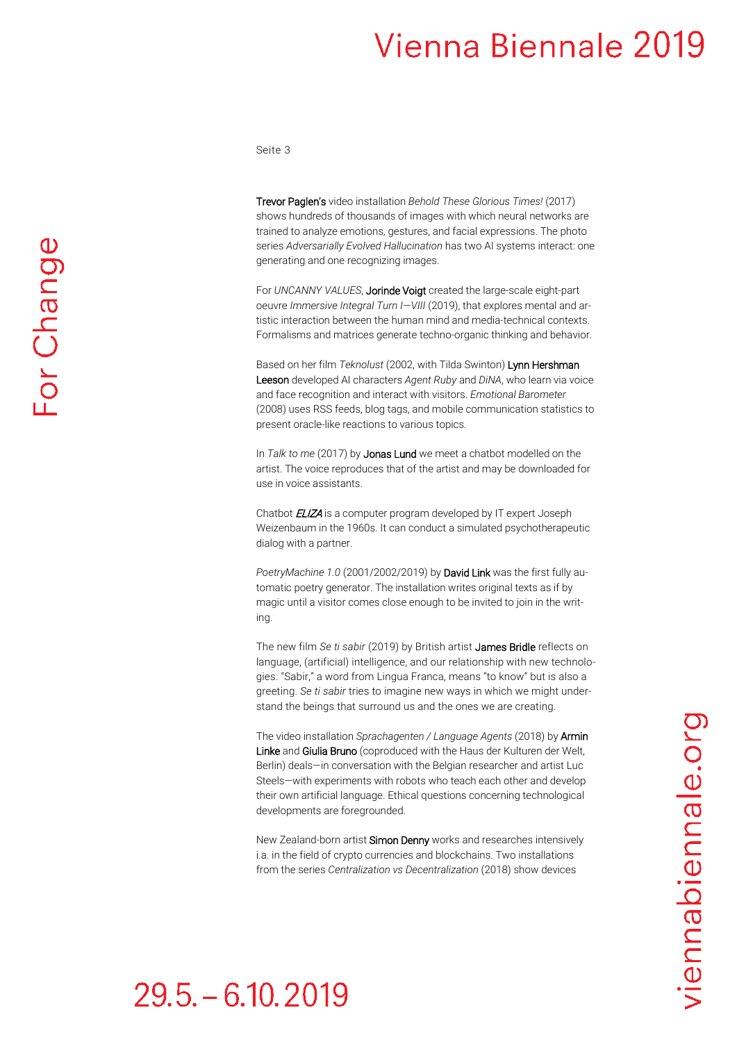Seite 3

Trevor Paglen's video installation *Behold These Glorious Times!* (2017) shows hundreds of thousands of images with which neural networks are trained to analyze emotions, gestures, and facial expressions. The photo series *Adversarially Evolved Hallucination* has two AI systems interact: one generating and one recognizing images.

For *UNCANNY VALUES*, Jorinde Voigt created the large-scale eight-part oeuvre *Immersive Integral Turn I—VIII* (2019), that explores mental and artistic interaction between the human mind and media-technical contexts. Formalisms and matrices generate techno-organic thinking and behavior.

Based on her film *Teknolust* (2002, with Tilda Swinton) Lynn Hershman Leeson developed AI characters *Agent Ruby* and *DiNA*, who learn via voice and face recognition and interact with visitors. *Emotional Barometer*  (2008) uses RSS feeds, blog tags, and mobile communication statistics to present oracle-like reactions to various topics.

In *Talk to me* (2017) by Jonas Lund we meet a chatbot modelled on the artist. The voice reproduces that of the artist and may be downloaded for use in voice assistants.

Chatbot **ELIZA** is a computer program developed by IT expert Joseph Weizenbaum in the 1960s. It can conduct a simulated psychotherapeutic dialog with a partner.

*PoetryMachine 1.0* (2001/2002/2019) by David Link was the first fully automatic poetry generator. The installation writes original texts as if by magic until a visitor comes close enough to be invited to join in the writing.

The new film *Se ti sabir* (2019) by British artist James Bridle reflects on language, (artificial) intelligence, and our relationship with new technologies. "Sabir," a word from Lingua Franca, means "to know" but is also a greeting. *Se ti sabir* tries to imagine new ways in which we might understand the beings that surround us and the ones we are creating.

The video installation *Sprachagenten / Language Agents* (2018) by Armin Linke and Giulia Bruno (coproduced with the Haus der Kulturen der Welt, Berlin) deals—in conversation with the Belgian researcher and artist Luc Steels—with experiments with robots who teach each other and develop their own artificial language. Ethical questions concerning technological developments are foregrounded.

New Zealand-born artist Simon Denny works and researches intensively i.a. in the field of crypto currencies and blockchains. Two installations from the series *Centralization vs Decentralization* (2018) show devices

### $29.5 - 6.10, 2019$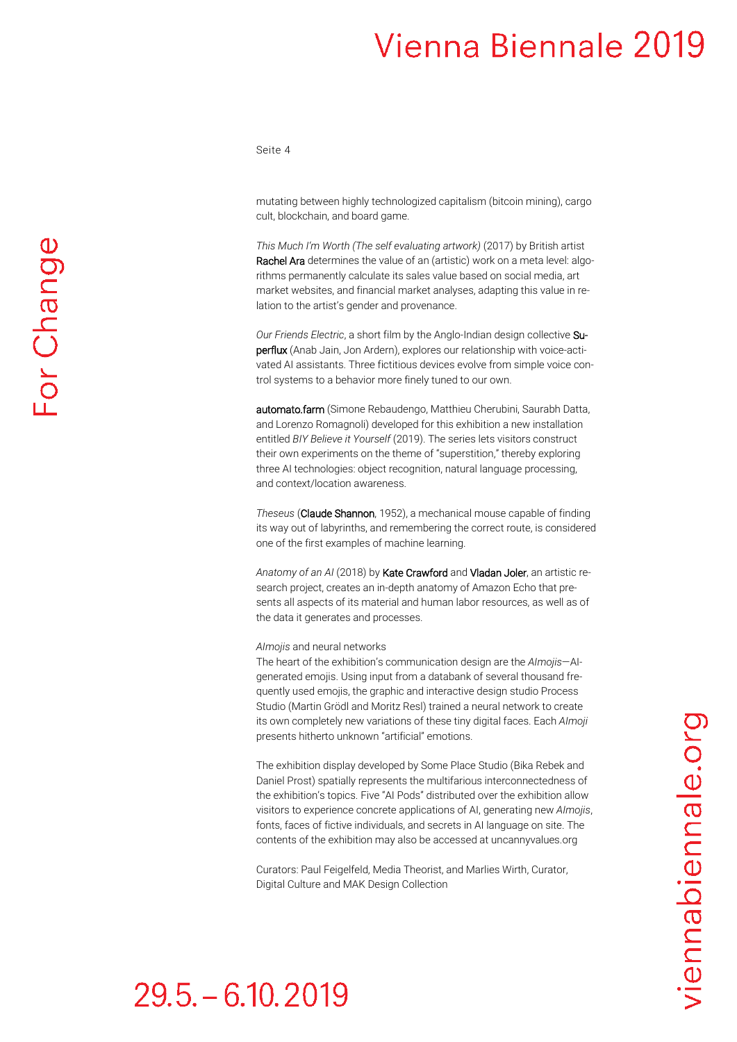Seite 4

mutating between highly technologized capitalism (bitcoin mining), cargo cult, blockchain, and board game.

*This Much I'm Worth (The self evaluating artwork)* (2017) by British artist Rachel Ara determines the value of an (artistic) work on a meta level: algorithms permanently calculate its sales value based on social media, art market websites, and financial market analyses, adapting this value in relation to the artist's gender and provenance.

*Our Friends Electric*, a short film by the Anglo-Indian design collective Superflux (Anab Jain, Jon Ardern), explores our relationship with voice-activated AI assistants. Three fictitious devices evolve from simple voice control systems to a behavior more finely tuned to our own.

automato.farm (Simone Rebaudengo, Matthieu Cherubini, Saurabh Datta, and Lorenzo Romagnoli) developed for this exhibition a new installation entitled *BIY Believe it Yourself* (2019). The series lets visitors construct their own experiments on the theme of "superstition," thereby exploring three AI technologies: object recognition, natural language processing, and context/location awareness.

*Theseus* (Claude Shannon, 1952), a mechanical mouse capable of finding its way out of labyrinths, and remembering the correct route, is considered one of the first examples of machine learning.

*Anatomy of an AI* (2018) by Kate Crawford and Vladan Joler, an artistic research project, creates an in-depth anatomy of Amazon Echo that presents all aspects of its material and human labor resources, as well as of the data it generates and processes.

#### *AImojis* and neural networks

The heart of the exhibition's communication design are the *AImojis*—AIgenerated emojis. Using input from a databank of several thousand frequently used emojis, the graphic and interactive design studio Process Studio (Martin Grödl and Moritz Resl) trained a neural network to create its own completely new variations of these tiny digital faces. Each *AImoji* presents hitherto unknown "artificial" emotions.

The exhibition display developed by Some Place Studio (Bika Rebek and Daniel Prost) spatially represents the multifarious interconnectedness of the exhibition's topics. Five "AI Pods" distributed over the exhibition allow visitors to experience concrete applications of AI, generating new *AImojis*, fonts, faces of fictive individuals, and secrets in AI language on site. The contents of the exhibition may also be accessed at uncannyvalues.org

Curators: Paul Feigelfeld, Media Theorist, and Marlies Wirth, Curator, Digital Culture and MAK Design Collection

## $29.5 - 6.10.2019$